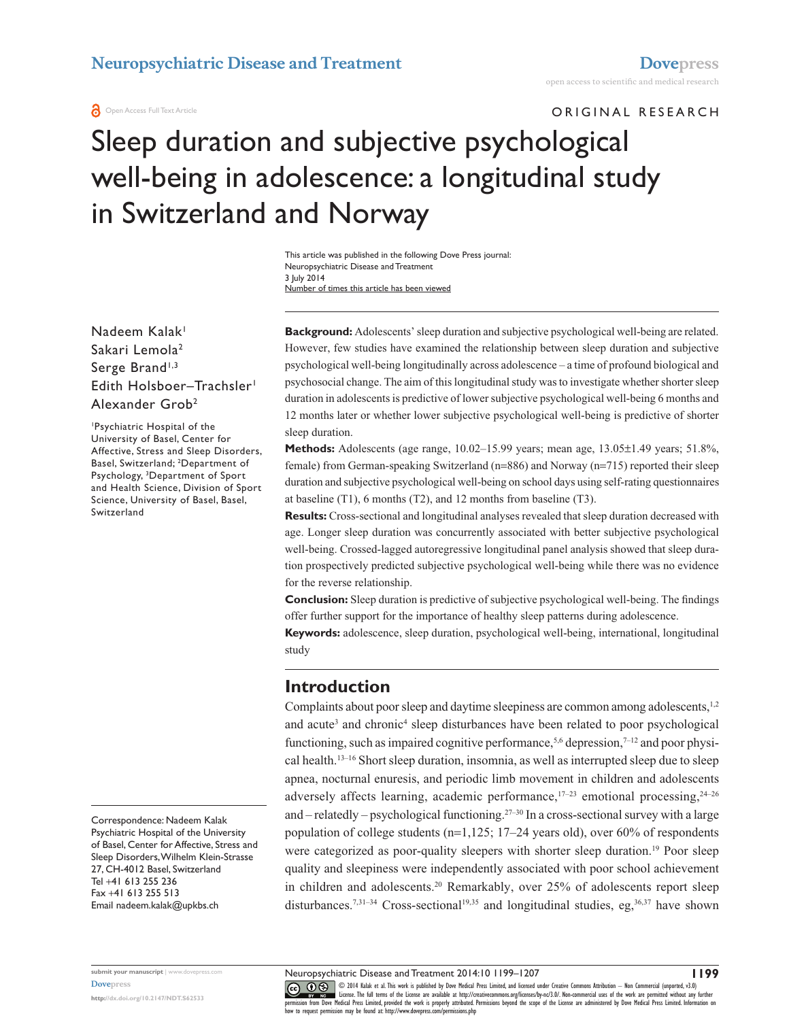#### **a** Open Access Full Text Article

ORIGINAL RESEARCH

# Sleep duration and subjective psychological well-being in adolescence: a longitudinal study in Switzerland and Norway

This article was published in the following Dove Press journal: Neuropsychiatric Disease and Treatment 3 July 2014 Number of times this article has been viewed

#### Nadeem Kalak<sup>1</sup> Sakari Lemola<sup>2</sup> Serge Brand<sup>1,3</sup> Edith Holsboer-Trachsler<sup>1</sup> Alexander Grob2

1 Psychiatric Hospital of the University of Basel, Center for Affective, Stress and Sleep Disorders, Basel, Switzerland; 2 Department of Psychology, <sup>3</sup>Department of Sport and Health Science, Division of Sport Science, University of Basel, Basel, Switzerland

Correspondence: Nadeem Kalak Psychiatric Hospital of the University of Basel, Center for Affective, Stress and Sleep Disorders, Wilhelm Klein-Strasse 27, CH-4012 Basel, Switzerland Tel +41 613 255 236 Fax +41 613 255 513 Email [nadeem.kalak@upkbs.ch](mailto:nadeem.kalak@upkbs.ch)

**Background:** Adolescents' sleep duration and subjective psychological well-being are related. However, few studies have examined the relationship between sleep duration and subjective psychological well-being longitudinally across adolescence – a time of profound biological and psychosocial change. The aim of this longitudinal study was to investigate whether shorter sleep duration in adolescents is predictive of lower subjective psychological well-being 6 months and 12 months later or whether lower subjective psychological well-being is predictive of shorter sleep duration.

**Methods:** Adolescents (age range, 10.02–15.99 years; mean age, 13.05±1.49 years; 51.8%, female) from German-speaking Switzerland (n=886) and Norway (n=715) reported their sleep duration and subjective psychological well-being on school days using self-rating questionnaires at baseline (T1), 6 months (T2), and 12 months from baseline (T3).

**Results:** Cross-sectional and longitudinal analyses revealed that sleep duration decreased with age. Longer sleep duration was concurrently associated with better subjective psychological well-being. Crossed-lagged autoregressive longitudinal panel analysis showed that sleep duration prospectively predicted subjective psychological well-being while there was no evidence for the reverse relationship.

**Conclusion:** Sleep duration is predictive of subjective psychological well-being. The findings offer further support for the importance of healthy sleep patterns during adolescence.

**Keywords:** adolescence, sleep duration, psychological well-being, international, longitudinal study

### **Introduction**

Complaints about poor sleep and daytime sleepiness are common among adolescents,<sup>1,2</sup> and acute<sup>3</sup> and chronic<sup>4</sup> sleep disturbances have been related to poor psychological functioning, such as impaired cognitive performance,<sup>5,6</sup> depression,<sup>7-12</sup> and poor physical health.13–16 Short sleep duration, insomnia, as well as interrupted sleep due to sleep apnea, nocturnal enuresis, and periodic limb movement in children and adolescents adversely affects learning, academic performance, $17-23$  emotional processing, $24-26$ and – relatedly – psychological functioning.27–30 In a cross-sectional survey with a large population of college students (n=1,125; 17–24 years old), over 60% of respondents were categorized as poor-quality sleepers with shorter sleep duration.<sup>19</sup> Poor sleep quality and sleepiness were independently associated with poor school achievement in children and adolescents.20 Remarkably, over 25% of adolescents report sleep disturbances.<sup>7,31–34</sup> Cross-sectional<sup>19,35</sup> and longitudinal studies, eg,<sup>36,37</sup> have shown

Neuropsychiatric Disease and Treatment 2014:10 1199–1207

**submit your manuscript** | <www.dovepress.com> **[Dovepress](www.dovepress.com)**

**<http://dx.doi.org/10.2147/NDT.S62533>**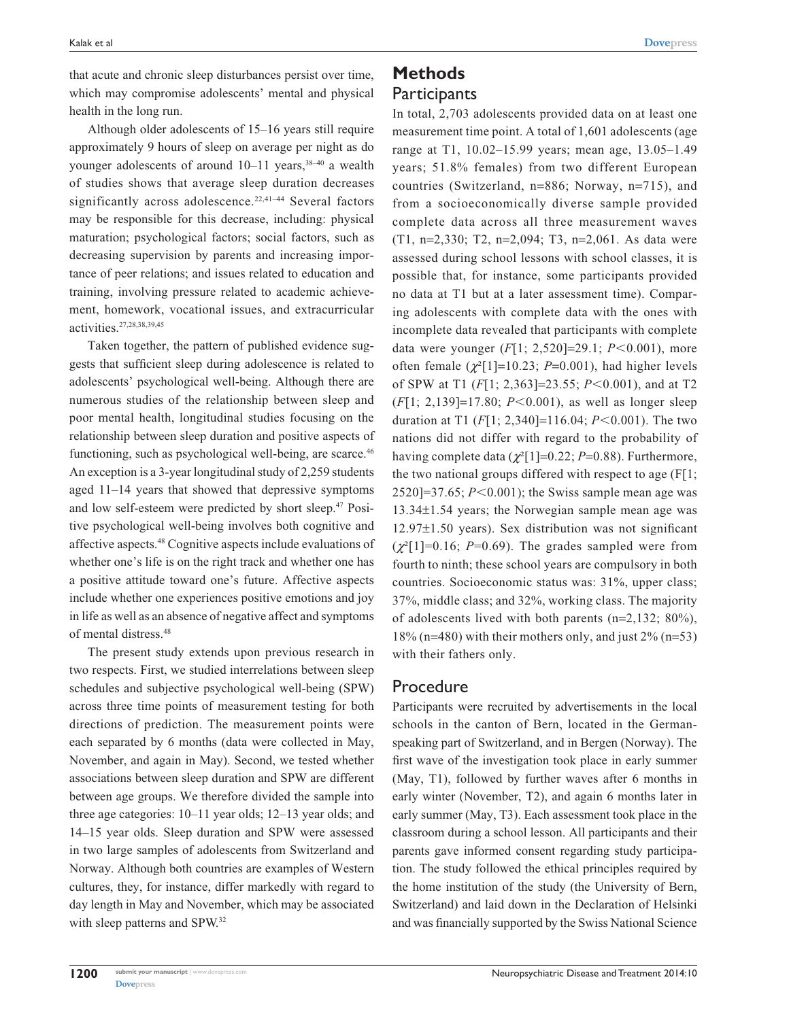that acute and chronic sleep disturbances persist over time, which may compromise adolescents' mental and physical health in the long run.

Although older adolescents of 15–16 years still require approximately 9 hours of sleep on average per night as do younger adolescents of around  $10-11$  years,  $38-40$  a wealth of studies shows that average sleep duration decreases significantly across adolescence.<sup>22,41-44</sup> Several factors may be responsible for this decrease, including: physical maturation; psychological factors; social factors, such as decreasing supervision by parents and increasing importance of peer relations; and issues related to education and training, involving pressure related to academic achievement, homework, vocational issues, and extracurricular activities.27,28,38,39,45

Taken together, the pattern of published evidence suggests that sufficient sleep during adolescence is related to adolescents' psychological well-being. Although there are numerous studies of the relationship between sleep and poor mental health, longitudinal studies focusing on the relationship between sleep duration and positive aspects of functioning, such as psychological well-being, are scarce.<sup>46</sup> An exception is a 3-year longitudinal study of 2,259 students aged 11–14 years that showed that depressive symptoms and low self-esteem were predicted by short sleep.<sup>47</sup> Positive psychological well-being involves both cognitive and affective aspects.48 Cognitive aspects include evaluations of whether one's life is on the right track and whether one has a positive attitude toward one's future. Affective aspects include whether one experiences positive emotions and joy in life as well as an absence of negative affect and symptoms of mental distress.48

The present study extends upon previous research in two respects. First, we studied interrelations between sleep schedules and subjective psychological well-being (SPW) across three time points of measurement testing for both directions of prediction. The measurement points were each separated by 6 months (data were collected in May, November, and again in May). Second, we tested whether associations between sleep duration and SPW are different between age groups. We therefore divided the sample into three age categories: 10–11 year olds; 12–13 year olds; and 14–15 year olds. Sleep duration and SPW were assessed in two large samples of adolescents from Switzerland and Norway. Although both countries are examples of Western cultures, they, for instance, differ markedly with regard to day length in May and November, which may be associated with sleep patterns and SPW.32

# **Methods Participants**

In total, 2,703 adolescents provided data on at least one measurement time point. A total of 1,601 adolescents (age range at T1, 10.02–15.99 years; mean age, 13.05–1.49 years; 51.8% females) from two different European countries (Switzerland, n=886; Norway, n=715), and from a socioeconomically diverse sample provided complete data across all three measurement waves (T1, n=2,330; T2, n=2,094; T3, n=2,061. As data were assessed during school lessons with school classes, it is possible that, for instance, some participants provided no data at T1 but at a later assessment time). Comparing adolescents with complete data with the ones with incomplete data revealed that participants with complete data were younger (*F*[1; 2,520]=29.1; *P*<0.001), more often female  $(\chi^2[1]=10.23; P=0.001)$ , had higher levels of SPW at T1 (*F*[1; 2,363]=23.55; *P*<0.001), and at T2  $(F[1; 2, 139] = 17.80; P < 0.001)$ , as well as longer sleep duration at T1  $(F[1; 2,340] = 116.04; P < 0.001)$ . The two nations did not differ with regard to the probability of having complete data (*χ*²[1]=0.22; *P*=0.88). Furthermore, the two national groups differed with respect to age (F[1;  $2520$ ]=37.65;  $P<0.001$ ); the Swiss sample mean age was 13.34±1.54 years; the Norwegian sample mean age was 12.97±1.50 years). Sex distribution was not significant  $(\chi^2[1] = 0.16; P = 0.69)$ . The grades sampled were from fourth to ninth; these school years are compulsory in both countries. Socioeconomic status was: 31%, upper class; 37%, middle class; and 32%, working class. The majority of adolescents lived with both parents (n=2,132; 80%),  $18\%$  (n=480) with their mothers only, and just  $2\%$  (n=53) with their fathers only.

#### Procedure

Participants were recruited by advertisements in the local schools in the canton of Bern, located in the Germanspeaking part of Switzerland, and in Bergen (Norway). The first wave of the investigation took place in early summer (May, T1), followed by further waves after 6 months in early winter (November, T2), and again 6 months later in early summer (May, T3). Each assessment took place in the classroom during a school lesson. All participants and their parents gave informed consent regarding study participation. The study followed the ethical principles required by the home institution of the study (the University of Bern, Switzerland) and laid down in the Declaration of Helsinki and was financially supported by the Swiss National Science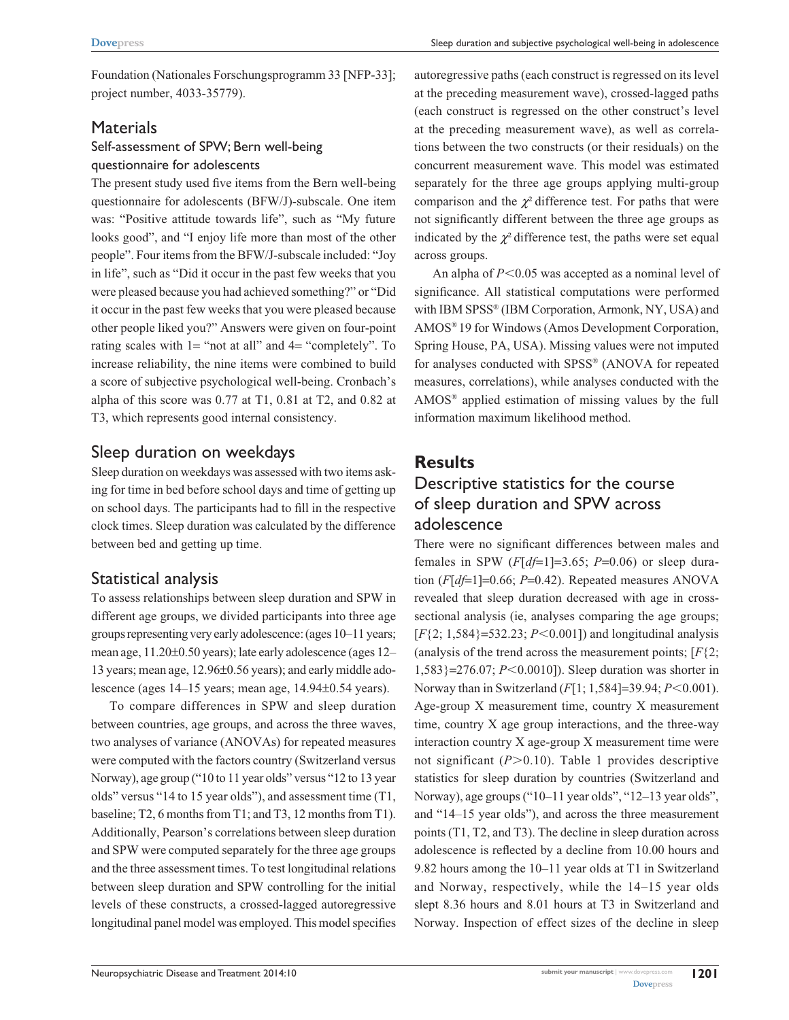Foundation (Nationales Forschungsprogramm 33 [NFP-33]; project number, 4033-35779).

### **Materials** Self-assessment of SPW; Bern well-being questionnaire for adolescents

The present study used five items from the Bern well-being questionnaire for adolescents (BFW/J)-subscale. One item was: "Positive attitude towards life", such as "My future looks good", and "I enjoy life more than most of the other people". Four items from the BFW/J-subscale included: "Joy in life", such as "Did it occur in the past few weeks that you were pleased because you had achieved something?" or "Did it occur in the past few weeks that you were pleased because other people liked you?" Answers were given on four-point rating scales with 1= "not at all" and 4= "completely". To increase reliability, the nine items were combined to build a score of subjective psychological well-being. Cronbach's alpha of this score was 0.77 at T1, 0.81 at T2, and 0.82 at T3, which represents good internal consistency.

### Sleep duration on weekdays

Sleep duration on weekdays was assessed with two items asking for time in bed before school days and time of getting up on school days. The participants had to fill in the respective clock times. Sleep duration was calculated by the difference between bed and getting up time.

## Statistical analysis

To assess relationships between sleep duration and SPW in different age groups, we divided participants into three age groups representing very early adolescence: (ages 10–11 years; mean age, 11.20±0.50 years); late early adolescence (ages 12– 13 years; mean age, 12.96±0.56 years); and early middle adolescence (ages 14–15 years; mean age, 14.94±0.54 years).

To compare differences in SPW and sleep duration between countries, age groups, and across the three waves, two analyses of variance (ANOVAs) for repeated measures were computed with the factors country (Switzerland versus Norway), age group ("10 to 11 year olds" versus "12 to 13 year olds" versus "14 to 15 year olds"), and assessment time (T1, baseline; T2, 6 months from T1; and T3, 12 months from T1). Additionally, Pearson's correlations between sleep duration and SPW were computed separately for the three age groups and the three assessment times. To test longitudinal relations between sleep duration and SPW controlling for the initial levels of these constructs, a crossed-lagged autoregressive longitudinal panel model was employed. This model specifies autoregressive paths (each construct is regressed on its level at the preceding measurement wave), crossed-lagged paths (each construct is regressed on the other construct's level at the preceding measurement wave), as well as correlations between the two constructs (or their residuals) on the concurrent measurement wave. This model was estimated separately for the three age groups applying multi-group comparison and the  $\chi^2$  difference test. For paths that were not significantly different between the three age groups as indicated by the  $\chi^2$  difference test, the paths were set equal across groups.

An alpha of  $P<0.05$  was accepted as a nominal level of significance. All statistical computations were performed with IBM SPSS® (IBM Corporation, Armonk, NY, USA) and AMOS® 19 for Windows (Amos Development Corporation, Spring House, PA, USA). Missing values were not imputed for analyses conducted with SPSS® (ANOVA for repeated measures, correlations), while analyses conducted with the AMOS® applied estimation of missing values by the full information maximum likelihood method.

# **Results**

## Descriptive statistics for the course of sleep duration and SPW across adolescence

There were no significant differences between males and females in SPW (*F*[*df*=1]=3.65; *P*=0.06) or sleep duration (*F*[*df*=1]=0.66; *P*=0.42). Repeated measures ANOVA revealed that sleep duration decreased with age in crosssectional analysis (ie, analyses comparing the age groups;  $[F{2; 1,584}$ =532.23; *P*<0.001]) and longitudinal analysis (analysis of the trend across the measurement points; [*F*{2; 1,583}=276.07; *P*<0.0010]). Sleep duration was shorter in Norway than in Switzerland (*F*[1; 1,584]=39.94; *P*<0.001). Age-group X measurement time, country X measurement time, country X age group interactions, and the three-way interaction country X age-group X measurement time were not significant  $(P>0.10)$ . Table 1 provides descriptive statistics for sleep duration by countries (Switzerland and Norway), age groups ("10–11 year olds", "12–13 year olds", and "14–15 year olds"), and across the three measurement points (T1, T2, and T3). The decline in sleep duration across adolescence is reflected by a decline from 10.00 hours and 9.82 hours among the 10–11 year olds at T1 in Switzerland and Norway, respectively, while the 14–15 year olds slept 8.36 hours and 8.01 hours at T3 in Switzerland and Norway. Inspection of effect sizes of the decline in sleep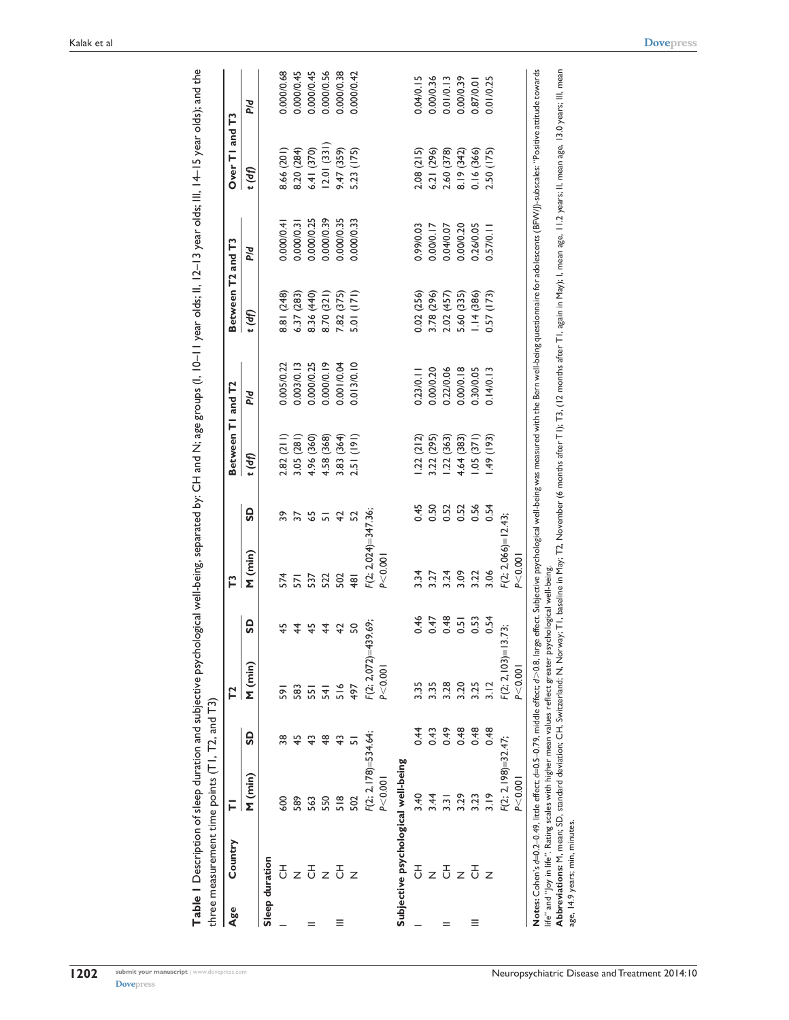|     | three measurement time points $(T1, T2,$ and $T3)$                                                      |                          |                |                    |                |                       |                 |                   |            |                   |            | Table I Description of sleep duration and subjective psychological well-being, separated by: CH and N; age groups (I, 10–11 year olds; II, 12–13 year olds; III, 14–15 year olds); and the                                     |            |
|-----|---------------------------------------------------------------------------------------------------------|--------------------------|----------------|--------------------|----------------|-----------------------|-----------------|-------------------|------------|-------------------|------------|--------------------------------------------------------------------------------------------------------------------------------------------------------------------------------------------------------------------------------|------------|
| Age | Country                                                                                                 | ᄅ                        |                | 72                 |                | Ľ                     |                 | Between TI and T2 |            | Between T2 and T3 |            | Over TI and T3                                                                                                                                                                                                                 |            |
|     |                                                                                                         | M (min)                  | G              | M (min)            | <b>GS</b>      | M (min)               | GS              | f(d)              | <b>b/d</b> | f(d)              | <b>b/d</b> | f(d)                                                                                                                                                                                                                           | <b>b/d</b> |
|     | Sleep duration                                                                                          |                          |                |                    |                |                       |                 |                   |            |                   |            |                                                                                                                                                                                                                                |            |
|     | 공                                                                                                       | 600                      | 38             | န္တ                | ᡩ              | 574                   | 39              | 2.82(211)         | 0.005/0.22 | 8.81 (248)        | 0.000/0.4  | 8.66 (201)                                                                                                                                                                                                                     | 0.000/0.68 |
|     | Z                                                                                                       | 589                      | $\frac{45}{5}$ | 583                | 4              | $\overline{57}$       | $\overline{37}$ | 3.05(281)         | 0.003/0.13 | 6.37(283)         | 0.000/0.3  | 8.20 (284)                                                                                                                                                                                                                     | 0.000/0.45 |
|     | 공                                                                                                       | 563                      | $\frac{4}{3}$  | 55                 | $\frac{4}{5}$  | 537                   | $rac{5}{9}$     | 4.96 (360)        | 0.000/0.25 | 8.36 (440)        | 0.000/0.25 | 6.41 (370)                                                                                                                                                                                                                     | 0.000/0.45 |
|     | Z                                                                                                       | 550                      | \$             | 로                  | $\overline{4}$ | 522                   |                 | 4.58 (368)        | 0.000/0.19 | 8.70 (321)        | 0.000/0.39 | 12.01(331)                                                                                                                                                                                                                     | 0.000/0.56 |
| ≡   | 공                                                                                                       | 518                      | $\frac{4}{3}$  | 516                | $\overline{4}$ | 502                   | 42              | 3.83 (364)        | 0.001/0.04 | 7.82 (375)        | 0.000/0.35 | 9.47 (359)                                                                                                                                                                                                                     | 0.000/0.38 |
|     | Z                                                                                                       | 502                      | ᆱ              | 497                | SO             | $\frac{1}{9}$         | 52              | 2.51(191)         | 0.013/0.10 | 5.01(171)         | 0.000/0.33 | 5.23 (175)                                                                                                                                                                                                                     | 0.000/0.42 |
|     |                                                                                                         | $F(2; 2, 178) = 534.64;$ |                | $F(2; 2,072)=43$   | 39.69;         | $F(2; 2,024)=347.36;$ |                 |                   |            |                   |            |                                                                                                                                                                                                                                |            |
|     |                                                                                                         | P < 0.001                |                | P < 0.00           |                | P < 0.00              |                 |                   |            |                   |            |                                                                                                                                                                                                                                |            |
|     | Subjective psychological well-being                                                                     |                          |                |                    |                |                       |                 |                   |            |                   |            |                                                                                                                                                                                                                                |            |
|     | 공                                                                                                       | 3.40                     | 0.44           | 3.35               | 0.46           | 3.34                  | 0.45            | .22(212)          | 0.23/0.11  | 0.02(256)         | 0.99/0.03  | 2.08 (215)                                                                                                                                                                                                                     | 0.04/0.15  |
|     | Z                                                                                                       | 3.44                     | 0.43           | 3.35               | 0.47           | 3.27                  | 0.50            | 3.22 (295)        | 0.00/0.20  | 3.78 (296)        | 0.0000.17  | 6.21 (296)                                                                                                                                                                                                                     | 0.00/0.36  |
|     | 공                                                                                                       | 3.31                     | 649            | 3.28               | 0.48           | 3.24                  | 0.52            | 1.22(363)         | 0.22/0.06  | 2.02 (457)        | 0.04/0.07  | 2.60 (378)                                                                                                                                                                                                                     | 0.01/0.13  |
|     |                                                                                                         | 3.29                     | 0.48           | 3.20               | 0.51           | 3.09                  | 0.52            | 4.64 (383)        | 0.00/0.18  | 5.60 (335)        | 0.0000.20  | 8.19 (342)                                                                                                                                                                                                                     | 0.000.39   |
| Ξ   | 공                                                                                                       | 3.23                     | 0.48           | 3.25               | 0.53           | 3.22                  | 0.56            | .05(371)          | 0.30/0.05  | 1.14(386)         | 0.26/0.05  | 0.16(366)                                                                                                                                                                                                                      | 0.87/0.01  |
|     | Z                                                                                                       | 3.19                     | 0.48           | $\frac{2}{3}$      | 0.54           | 3.06                  | 0.54            | $(61)$ $64$ .     | 0.14/0.13  | 0.57 (173)        | 0.57/0.11  | 2.50 (175)                                                                                                                                                                                                                     | 0.01/0.25  |
|     |                                                                                                         | $F(2; 2, 198) = 32.47;$  |                | $F(2; 2, 103) = 1$ | 73;            | $F(2; 2,066)=12.43;$  |                 |                   |            |                   |            |                                                                                                                                                                                                                                |            |
|     |                                                                                                         | P < 0.001                |                | P < 0.00           |                | P < 0.00              |                 |                   |            |                   |            |                                                                                                                                                                                                                                |            |
|     | ife" and "Joy in life". Rating scales with higher mean values reflect greater psychological well-being. |                          |                |                    |                |                       |                 |                   |            |                   |            | Notes: Cohen's d=0.2-0.49, little effect: d=0.5-0.79, middle effect: d>0.8, large effect: Subjective psychological well-being was measured with the Bern well-being questionnaire for adolescents (BFW/J)-subscales: "Positive |            |
|     | age, 14.9 years; min, minutes.                                                                          |                          |                |                    |                |                       |                 |                   |            |                   |            | Abbreviations: M, mean; SD, standard deviation; CH, Switzerland; N, Novery, T1, baseline in M3r, T2, November (6 months after T1); T3, (12 months after T1, again in May); I, mean age, 11.2 years; II, mean age, 13.0 years;  |            |

**1202**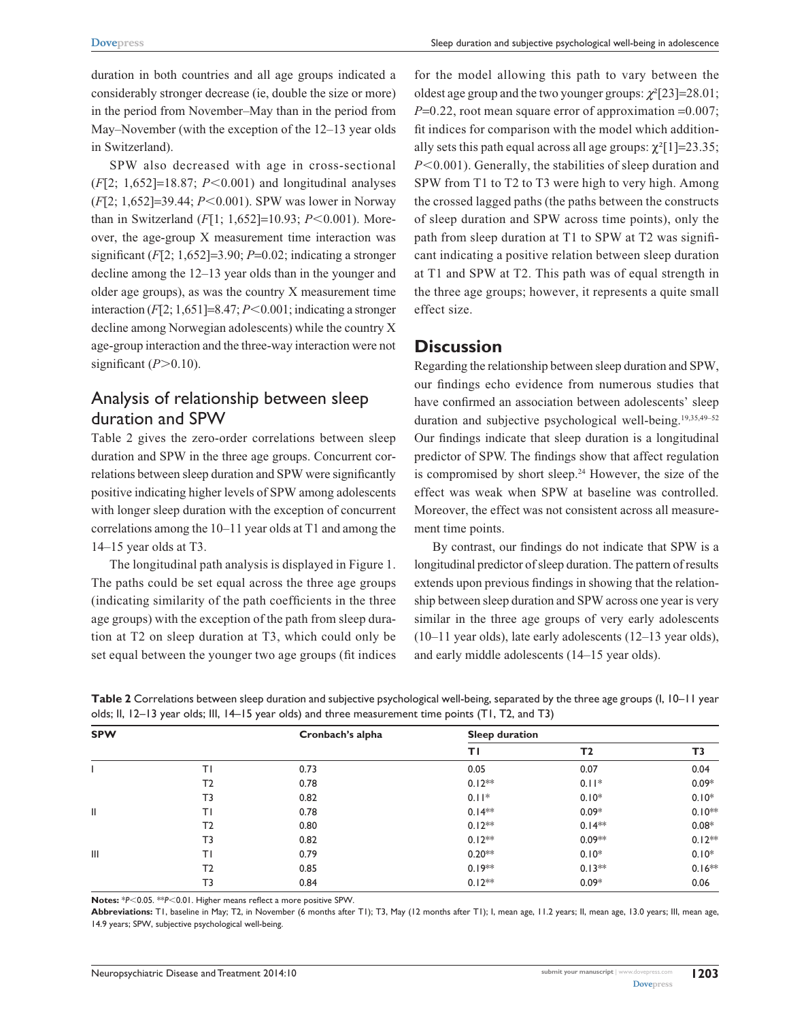duration in both countries and all age groups indicated a considerably stronger decrease (ie, double the size or more) in the period from November–May than in the period from May–November (with the exception of the 12–13 year olds in Switzerland).

SPW also decreased with age in cross-sectional  $(F[2; 1,652] = 18.87; P < 0.001)$  and longitudinal analyses (*F*[2; 1,652]=39.44; *P*<0.001). SPW was lower in Norway than in Switzerland (*F*[1; 1,652]=10.93; *P*<0.001). Moreover, the age-group X measurement time interaction was significant (*F*[2; 1,652]=3.90; *P*=0.02; indicating a stronger decline among the 12–13 year olds than in the younger and older age groups), as was the country X measurement time interaction  $(F[2; 1, 651] = 8.47; P < 0.001$ ; indicating a stronger decline among Norwegian adolescents) while the country X age-group interaction and the three-way interaction were not significant  $(P>0.10)$ .

### Analysis of relationship between sleep duration and SPW

Table 2 gives the zero-order correlations between sleep duration and SPW in the three age groups. Concurrent correlations between sleep duration and SPW were significantly positive indicating higher levels of SPW among adolescents with longer sleep duration with the exception of concurrent correlations among the 10–11 year olds at T1 and among the 14–15 year olds at T3.

The longitudinal path analysis is displayed in Figure 1. The paths could be set equal across the three age groups (indicating similarity of the path coefficients in the three age groups) with the exception of the path from sleep duration at T2 on sleep duration at T3, which could only be set equal between the younger two age groups (fit indices for the model allowing this path to vary between the oldest age group and the two younger groups: *χ*²[23]=28.01; *P*=0.22, root mean square error of approximation =0.007; fit indices for comparison with the model which additionally sets this path equal across all age groups:  $\chi^2$ [1]=23.35;  $P<0.001$ ). Generally, the stabilities of sleep duration and SPW from T1 to T2 to T3 were high to very high. Among the crossed lagged paths (the paths between the constructs of sleep duration and SPW across time points), only the path from sleep duration at T1 to SPW at T2 was significant indicating a positive relation between sleep duration at T1 and SPW at T2. This path was of equal strength in the three age groups; however, it represents a quite small effect size.

### **Discussion**

Regarding the relationship between sleep duration and SPW, our findings echo evidence from numerous studies that have confirmed an association between adolescents' sleep duration and subjective psychological well-being.<sup>19,35,49-52</sup> Our findings indicate that sleep duration is a longitudinal predictor of SPW. The findings show that affect regulation is compromised by short sleep.<sup>24</sup> However, the size of the effect was weak when SPW at baseline was controlled. Moreover, the effect was not consistent across all measurement time points.

By contrast, our findings do not indicate that SPW is a longitudinal predictor of sleep duration. The pattern of results extends upon previous findings in showing that the relationship between sleep duration and SPW across one year is very similar in the three age groups of very early adolescents (10–11 year olds), late early adolescents (12–13 year olds), and early middle adolescents (14–15 year olds).

| Table 2 Correlations between sleep duration and subjective psychological well-being, separated by the three age groups (I, 10–11 year |  |
|---------------------------------------------------------------------------------------------------------------------------------------|--|
| olds; II, 12–13 year olds; III, 14–15 year olds) and three measurement time points (T1, T2, and T3)                                   |  |

| <b>SPW</b> |                | Cronbach's alpha | Sleep duration |                |          |
|------------|----------------|------------------|----------------|----------------|----------|
|            |                |                  | ΤI             | T <sub>2</sub> | T3       |
|            | ΤI             | 0.73             | 0.05           | 0.07           | 0.04     |
|            | T <sub>2</sub> | 0.78             | $0.12**$       | $0.11*$        | $0.09*$  |
|            | T3             | 0.82             | $0.11*$        | $0.10*$        | $0.10*$  |
| Ш          | T١             | 0.78             | $0.14**$       | $0.09*$        | $0.10**$ |
|            | T <sub>2</sub> | 0.80             | $0.12**$       | $0.14**$       | $0.08*$  |
|            | T3             | 0.82             | $0.12**$       | $0.09**$       | $0.12**$ |
| Ш          | ΤI             | 0.79             | $0.20**$       | $0.10*$        | $0.10*$  |
|            | T <sub>2</sub> | 0.85             | $0.19**$       | $0.13**$       | $0.16**$ |
|            | T3             | 0.84             | $0.12**$       | $0.09*$        | 0.06     |

Notes: \**P*<0.05. \*\**P*<0.01. Higher means reflect a more positive SPW.

**Abbreviations:** T1, baseline in May; T2, in November (6 months after T1); T3, May (12 months after T1); I, mean age, 11.2 years; II, mean age, 13.0 years; III, mean age, 14.9 years; SPW, subjective psychological well-being.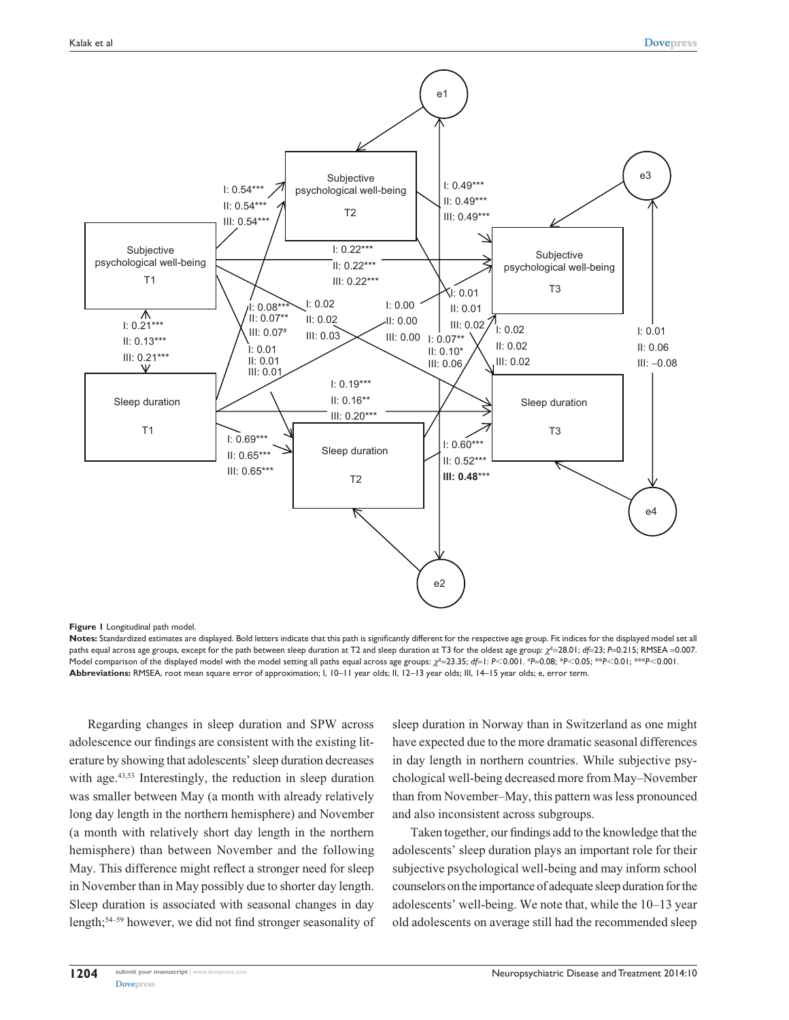

#### **Figure 1** Longitudinal path model.

**Notes:** Standardized estimates are displayed. Bold letters indicate that this path is significantly different for the respective age group. Fit indices for the displayed model set all paths equal across age groups, except for the path between sleep duration at T2 and sleep duration at T3 for the oldest age group: *χ*<sup>2</sup>=28.01; *d*f=23; *P*=0.215; RMSEA =0.007. Model comparison of the displayed model with the model setting all paths equal across age groups:  $χ²=23.35$ ; df=1:  $P<0.001$ . #P=0.08; \* $P<0.05$ ; \*\* $P<0.01$ ; \*\*\* $P<0.001$ . **Abbreviations:** RMSEA, root mean square error of approximation; I, 10–11 year olds; II, 12–13 year olds; III, 14–15 year olds; e, error term.

Regarding changes in sleep duration and SPW across adolescence our findings are consistent with the existing literature by showing that adolescents' sleep duration decreases with age.<sup>43,53</sup> Interestingly, the reduction in sleep duration was smaller between May (a month with already relatively long day length in the northern hemisphere) and November (a month with relatively short day length in the northern hemisphere) than between November and the following May. This difference might reflect a stronger need for sleep in November than in May possibly due to shorter day length. Sleep duration is associated with seasonal changes in day length;54–59 however, we did not find stronger seasonality of sleep duration in Norway than in Switzerland as one might have expected due to the more dramatic seasonal differences in day length in northern countries. While subjective psychological well-being decreased more from May–November than from November–May, this pattern was less pronounced and also inconsistent across subgroups.

Taken together, our findings add to the knowledge that the adolescents' sleep duration plays an important role for their subjective psychological well-being and may inform school counselors on the importance of adequate sleep duration for the adolescents' well-being. We note that, while the 10–13 year old adolescents on average still had the recommended sleep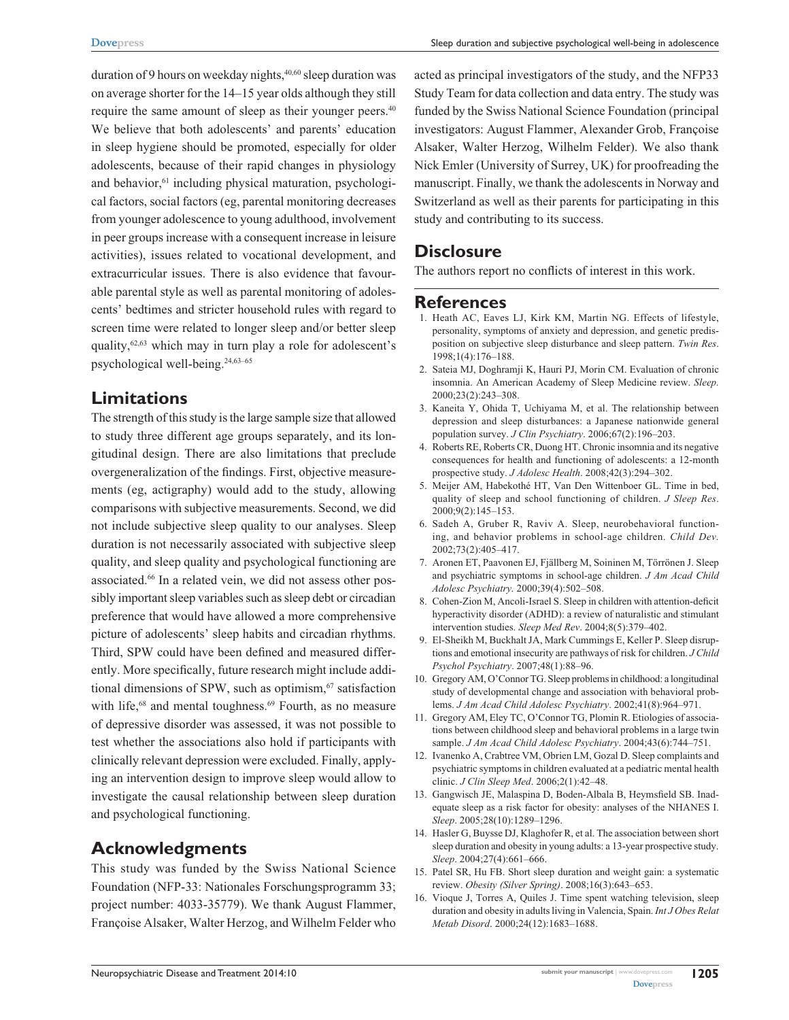duration of 9 hours on weekday nights, $40,60$  sleep duration was on average shorter for the 14–15 year olds although they still require the same amount of sleep as their younger peers.<sup>40</sup> We believe that both adolescents' and parents' education in sleep hygiene should be promoted, especially for older adolescents, because of their rapid changes in physiology and behavior,<sup>61</sup> including physical maturation, psychological factors, social factors (eg, parental monitoring decreases from younger adolescence to young adulthood, involvement in peer groups increase with a consequent increase in leisure activities), issues related to vocational development, and extracurricular issues. There is also evidence that favourable parental style as well as parental monitoring of adolescents' bedtimes and stricter household rules with regard to screen time were related to longer sleep and/or better sleep quality,<sup>62,63</sup> which may in turn play a role for adolescent's psychological well-being.24,63–65

#### **Limitations**

The strength of this study is the large sample size that allowed to study three different age groups separately, and its longitudinal design. There are also limitations that preclude overgeneralization of the findings. First, objective measurements (eg, actigraphy) would add to the study, allowing comparisons with subjective measurements. Second, we did not include subjective sleep quality to our analyses. Sleep duration is not necessarily associated with subjective sleep quality, and sleep quality and psychological functioning are associated.66 In a related vein, we did not assess other possibly important sleep variables such as sleep debt or circadian preference that would have allowed a more comprehensive picture of adolescents' sleep habits and circadian rhythms. Third, SPW could have been defined and measured differently. More specifically, future research might include additional dimensions of SPW, such as optimism, $67$  satisfaction with life,<sup>68</sup> and mental toughness.<sup>69</sup> Fourth, as no measure of depressive disorder was assessed, it was not possible to test whether the associations also hold if participants with clinically relevant depression were excluded. Finally, applying an intervention design to improve sleep would allow to investigate the causal relationship between sleep duration and psychological functioning.

### **Acknowledgments**

This study was funded by the Swiss National Science Foundation (NFP-33: Nationales Forschungsprogramm 33; project number: 4033-35779). We thank August Flammer, Françoise Alsaker, Walter Herzog, and Wilhelm Felder who

acted as principal investigators of the study, and the NFP33 Study Team for data collection and data entry. The study was funded by the Swiss National Science Foundation (principal investigators: August Flammer, Alexander Grob, Françoise Alsaker, Walter Herzog, Wilhelm Felder). We also thank Nick Emler (University of Surrey, UK) for proofreading the manuscript. Finally, we thank the adolescents in Norway and Switzerland as well as their parents for participating in this study and contributing to its success.

### **Disclosure**

The authors report no conflicts of interest in this work.

#### **References**

- 1. Heath AC, Eaves LJ, Kirk KM, Martin NG. Effects of lifestyle, personality, symptoms of anxiety and depression, and genetic predisposition on subjective sleep disturbance and sleep pattern. *Twin Res*. 1998;1(4):176–188.
- 2. Sateia MJ, Doghramji K, Hauri PJ, Morin CM. Evaluation of chronic insomnia. An American Academy of Sleep Medicine review. *Sleep.*  2000;23(2):243–308.
- 3. Kaneita Y, Ohida T, Uchiyama M, et al. The relationship between depression and sleep disturbances: a Japanese nationwide general population survey. *J Clin Psychiatry*. 2006;67(2):196–203.
- 4. Roberts RE, Roberts CR, Duong HT. Chronic insomnia and its negative consequences for health and functioning of adolescents: a 12-month prospective study. *J Adolesc Health*. 2008;42(3):294–302.
- 5. Meijer AM, Habekothé HT, Van Den Wittenboer GL. Time in bed, quality of sleep and school functioning of children. *J Sleep Res*. 2000;9(2):145–153.
- 6. Sadeh A, Gruber R, Raviv A. Sleep, neurobehavioral functioning, and behavior problems in school-age children. *Child Dev.*  2002;73(2):405–417.
- 7. Aronen ET, Paavonen EJ, Fjällberg M, Soininen M, Törrönen J. Sleep and psychiatric symptoms in school-age children. *J Am Acad Child Adolesc Psychiatry.* 2000;39(4):502–508.
- 8. Cohen-Zion M, Ancoli-Israel S. Sleep in children with attention-deficit hyperactivity disorder (ADHD): a review of naturalistic and stimulant intervention studies. *Sleep Med Rev*. 2004;8(5):379–402.
- 9. El-Sheikh M, Buckhalt JA, Mark Cummings E, Keller P. Sleep disruptions and emotional insecurity are pathways of risk for children. *J Child Psychol Psychiatry*. 2007;48(1):88–96.
- 10. Gregory AM, O'Connor TG. Sleep problems in childhood: a longitudinal study of developmental change and association with behavioral problems. *J Am Acad Child Adolesc Psychiatry*. 2002;41(8):964–971.
- 11. Gregory AM, Eley TC, O'Connor TG, Plomin R. Etiologies of associations between childhood sleep and behavioral problems in a large twin sample. *J Am Acad Child Adolesc Psychiatry*. 2004;43(6):744–751.
- 12. Ivanenko A, Crabtree VM, Obrien LM, Gozal D. Sleep complaints and psychiatric symptoms in children evaluated at a pediatric mental health clinic. *J Clin Sleep Med*. 2006;2(1):42–48.
- 13. Gangwisch JE, Malaspina D, Boden-Albala B, Heymsfield SB. Inadequate sleep as a risk factor for obesity: analyses of the NHANES I. *Sleep*. 2005;28(10):1289–1296.
- 14. Hasler G, Buysse DJ, Klaghofer R, et al. The association between short sleep duration and obesity in young adults: a 13-year prospective study. *Sleep*. 2004;27(4):661–666.
- 15. Patel SR, Hu FB. Short sleep duration and weight gain: a systematic review. *Obesity (Silver Spring)*. 2008;16(3):643–653.
- 16. Vioque J, Torres A, Quiles J. Time spent watching television, sleep duration and obesity in adults living in Valencia, Spain. *Int J Obes Relat Metab Disord*. 2000;24(12):1683–1688.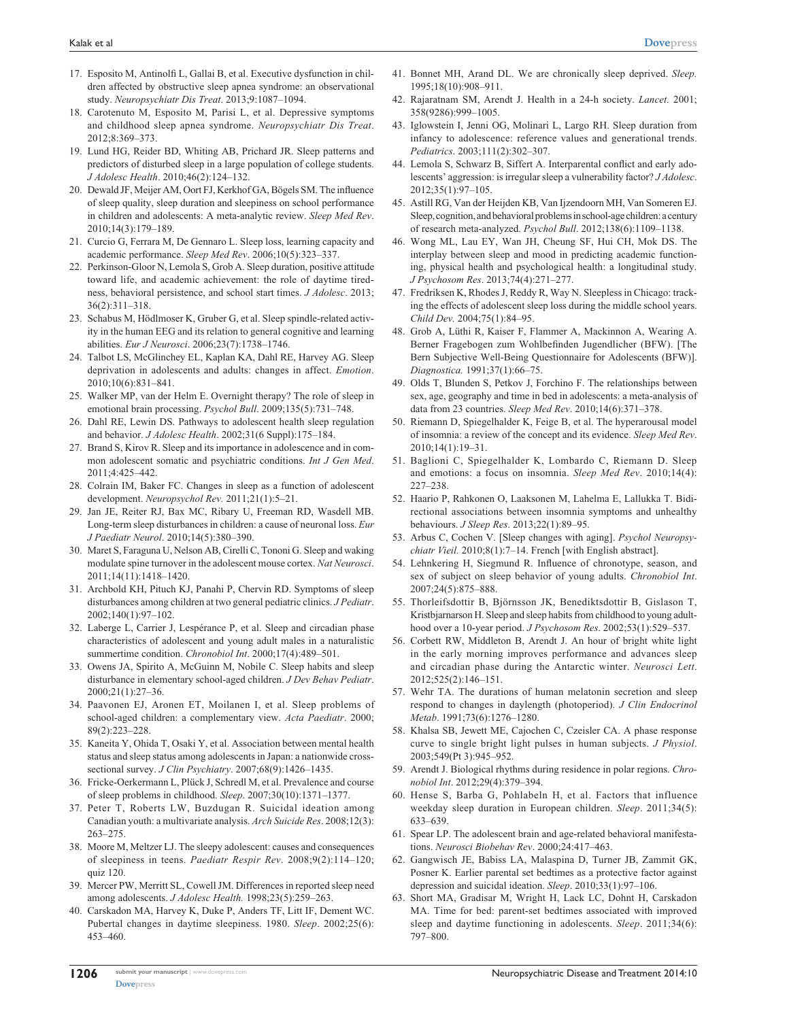- 17. Esposito M, Antinolfi L, Gallai B, et al. Executive dysfunction in children affected by obstructive sleep apnea syndrome: an observational study. *Neuropsychiatr Dis Treat*. 2013;9:1087–1094.
- 18. Carotenuto M, Esposito M, Parisi L, et al. Depressive symptoms and childhood sleep apnea syndrome. *Neuropsychiatr Dis Treat*. 2012;8:369–373.
- 19. Lund HG, Reider BD, Whiting AB, Prichard JR. Sleep patterns and predictors of disturbed sleep in a large population of college students. *J Adolesc Health*. 2010;46(2):124–132.
- 20. Dewald JF, Meijer AM, Oort FJ, Kerkhof GA, Bögels SM. The influence of sleep quality, sleep duration and sleepiness on school performance in children and adolescents: A meta-analytic review. *Sleep Med Rev*. 2010;14(3):179–189.
- 21. Curcio G, Ferrara M, De Gennaro L. Sleep loss, learning capacity and academic performance. *Sleep Med Rev*. 2006;10(5):323–337.
- 22. Perkinson-Gloor N, Lemola S, Grob A. Sleep duration, positive attitude toward life, and academic achievement: the role of daytime tiredness, behavioral persistence, and school start times. *J Adolesc*. 2013; 36(2):311–318.
- 23. Schabus M, Hödlmoser K, Gruber G, et al. Sleep spindle-related activity in the human EEG and its relation to general cognitive and learning abilities. *Eur J Neurosci*. 2006;23(7):1738–1746.
- 24. Talbot LS, McGlinchey EL, Kaplan KA, Dahl RE, Harvey AG. Sleep deprivation in adolescents and adults: changes in affect. *Emotion*. 2010;10(6):831–841.
- 25. Walker MP, van der Helm E. Overnight therapy? The role of sleep in emotional brain processing. *Psychol Bull*. 2009;135(5):731–748.
- 26. Dahl RE, Lewin DS. Pathways to adolescent health sleep regulation and behavior. *J Adolesc Health*. 2002;31(6 Suppl):175–184.
- 27. Brand S, Kirov R. Sleep and its importance in adolescence and in common adolescent somatic and psychiatric conditions. *Int J Gen Med*. 2011;4:425–442.
- 28. Colrain IM, Baker FC. Changes in sleep as a function of adolescent development. *Neuropsychol Rev.* 2011;21(1):5–21.
- 29. Jan JE, Reiter RJ, Bax MC, Ribary U, Freeman RD, Wasdell MB. Long-term sleep disturbances in children: a cause of neuronal loss. *Eur J Paediatr Neurol*. 2010;14(5):380–390.
- 30. Maret S, Faraguna U, Nelson AB, Cirelli C, Tononi G. Sleep and waking modulate spine turnover in the adolescent mouse cortex. *Nat Neurosci*. 2011;14(11):1418–1420.
- 31. Archbold KH, Pituch KJ, Panahi P, Chervin RD. Symptoms of sleep disturbances among children at two general pediatric clinics. *J Pediatr*. 2002;140(1):97–102.
- 32. Laberge L, Carrier J, Lespérance P, et al. Sleep and circadian phase characteristics of adolescent and young adult males in a naturalistic summertime condition. *Chronobiol Int*. 2000;17(4):489–501.
- 33. Owens JA, Spirito A, McGuinn M, Nobile C. Sleep habits and sleep disturbance in elementary school-aged children. *J Dev Behav Pediatr*. 2000;21(1):27–36.
- 34. Paavonen EJ, Aronen ET, Moilanen I, et al. Sleep problems of school-aged children: a complementary view. *Acta Paediatr*. 2000; 89(2):223–228.
- 35. Kaneita Y, Ohida T, Osaki Y, et al. Association between mental health status and sleep status among adolescents in Japan: a nationwide crosssectional survey. *J Clin Psychiatry*. 2007;68(9):1426–1435.
- 36. Fricke-Oerkermann L, Plück J, Schredl M, et al. Prevalence and course of sleep problems in childhood. *Sleep*. 2007;30(10):1371–1377.
- 37. Peter T, Roberts LW, Buzdugan R. Suicidal ideation among Canadian youth: a multivariate analysis. *Arch Suicide Res*. 2008;12(3): 263–275.
- 38. Moore M, Meltzer LJ. The sleepy adolescent: causes and consequences of sleepiness in teens. *Paediatr Respir Rev*. 2008;9(2):114–120; quiz 120.
- 39. Mercer PW, Merritt SL, Cowell JM. Differences in reported sleep need among adolescents. *J Adolesc Health.* 1998;23(5):259–263.
- 40. Carskadon MA, Harvey K, Duke P, Anders TF, Litt IF, Dement WC. Pubertal changes in daytime sleepiness. 1980. *Sleep*. 2002;25(6): 453–460.
- 41. Bonnet MH, Arand DL. We are chronically sleep deprived. *Sleep.*  1995;18(10):908–911.
- 42. Rajaratnam SM, Arendt J. Health in a 24-h society. *Lancet.* 2001; 358(9286):999–1005.
- 43. Iglowstein I, Jenni OG, Molinari L, Largo RH. Sleep duration from infancy to adolescence: reference values and generational trends. *Pediatrics*. 2003;111(2):302–307.
- 44. Lemola S, Schwarz B, Siffert A. Interparental conflict and early adolescents' aggression: is irregular sleep a vulnerability factor? *J Adolesc*. 2012;35(1):97–105.
- 45. Astill RG, Van der Heijden KB, Van Ijzendoorn MH, Van Someren EJ. Sleep, cognition, and behavioral problems in school-age children: a century of research meta-analyzed. *Psychol Bull*. 2012;138(6):1109–1138.
- 46. Wong ML, Lau EY, Wan JH, Cheung SF, Hui CH, Mok DS. The interplay between sleep and mood in predicting academic functioning, physical health and psychological health: a longitudinal study. *J Psychosom Res*. 2013;74(4):271–277.
- 47. Fredriksen K, Rhodes J, Reddy R, Way N. Sleepless in Chicago: tracking the effects of adolescent sleep loss during the middle school years. *Child Dev.* 2004;75(1):84–95.
- 48. Grob A, Lüthi R, Kaiser F, Flammer A, Mackinnon A, Wearing A. Berner Fragebogen zum Wohlbefinden Jugendlicher (BFW). [The Bern Subjective Well-Being Questionnaire for Adolescents (BFW)]. *Diagnostica.* 1991;37(1):66–75.
- 49. Olds T, Blunden S, Petkov J, Forchino F. The relationships between sex, age, geography and time in bed in adolescents: a meta-analysis of data from 23 countries. *Sleep Med Rev*. 2010;14(6):371–378.
- 50. Riemann D, Spiegelhalder K, Feige B, et al. The hyperarousal model of insomnia: a review of the concept and its evidence. *Sleep Med Rev*. 2010;14(1):19–31.
- 51. Baglioni C, Spiegelhalder K, Lombardo C, Riemann D. Sleep and emotions: a focus on insomnia. *Sleep Med Rev*. 2010;14(4): 227–238.
- 52. Haario P, Rahkonen O, Laaksonen M, Lahelma E, Lallukka T. Bidirectional associations between insomnia symptoms and unhealthy behaviours. *J Sleep Res*. 2013;22(1):89–95.
- 53. Arbus C, Cochen V. [Sleep changes with aging]. *Psychol Neuropsychiatr Vieil.* 2010;8(1):7–14. French [with English abstract].
- 54. Lehnkering H, Siegmund R. Influence of chronotype, season, and sex of subject on sleep behavior of young adults. *Chronobiol Int*. 2007;24(5):875–888.
- 55. Thorleifsdottir B, Björnsson JK, Benediktsdottir B, Gislason T, Kristbjarnarson H. Sleep and sleep habits from childhood to young adulthood over a 10-year period. *J Psychosom Res*. 2002;53(1):529–537.
- 56. Corbett RW, Middleton B, Arendt J. An hour of bright white light in the early morning improves performance and advances sleep and circadian phase during the Antarctic winter. *Neurosci Lett*. 2012;525(2):146–151.
- 57. Wehr TA. The durations of human melatonin secretion and sleep respond to changes in daylength (photoperiod). *J Clin Endocrinol Metab*. 1991;73(6):1276–1280.
- 58. Khalsa SB, Jewett ME, Cajochen C, Czeisler CA. A phase response curve to single bright light pulses in human subjects. *J Physiol*. 2003;549(Pt 3):945–952.
- 59. Arendt J. Biological rhythms during residence in polar regions. *Chronobiol Int*. 2012;29(4):379–394.
- 60. Hense S, Barba G, Pohlabeln H, et al. Factors that influence weekday sleep duration in European children. *Sleep*. 2011;34(5): 633–639.
- 61. Spear LP. The adolescent brain and age-related behavioral manifestations. *Neurosci Biobehav Rev*. 2000;24:417–463.
- 62. Gangwisch JE, Babiss LA, Malaspina D, Turner JB, Zammit GK, Posner K. Earlier parental set bedtimes as a protective factor against depression and suicidal ideation. *Sleep*. 2010;33(1):97–106.
- 63. Short MA, Gradisar M, Wright H, Lack LC, Dohnt H, Carskadon MA. Time for bed: parent-set bedtimes associated with improved sleep and daytime functioning in adolescents. *Sleep*. 2011;34(6): 797–800.